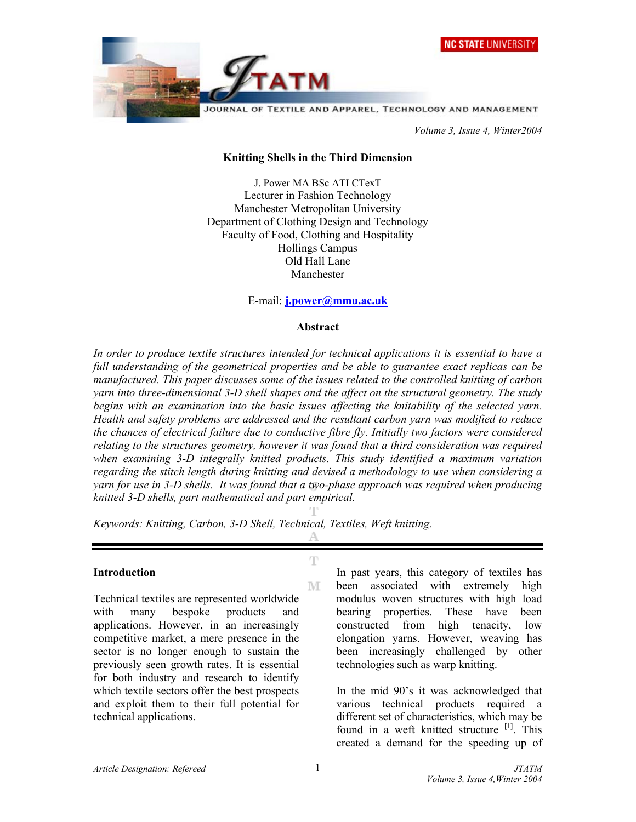

 *Volume 3, Issue 4, Winter2004* 

#### **Knitting Shells in the Third Dimension**

J. Power MA BSc ATI CTexT Lecturer in Fashion Technology Manchester Metropolitan University Department of Clothing Design and Technology Faculty of Food, Clothing and Hospitality Hollings Campus Old Hall Lane Manchester

#### E-mail: **j.power@mmu.ac.uk**

#### **Abstract**

*In order to produce textile structures intended for technical applications it is essential to have a full understanding of the geometrical properties and be able to guarantee exact replicas can be manufactured. This paper discusses some of the issues related to the controlled knitting of carbon yarn into three-dimensional 3-D shell shapes and the affect on the structural geometry. The study begins with an examination into the basic issues affecting the knitability of the selected yarn. Health and safety problems are addressed and the resultant carbon yarn was modified to reduce the chances of electrical failure due to conductive fibre fly. Initially two factors were considered relating to the structures geometry, however it was found that a third consideration was required when examining 3-D integrally knitted products. This study identified a maximum variation regarding the stitch length during knitting and devised a methodology to use when considering a yarn for use in 3-D shells. It was found that a two-phase approach was required when producing knitted 3-D shells, part mathematical and part empirical.* 

 $\mathbb T$ 

M

*Keywords: Knitting, Carbon, 3-D Shell, Technical, Textiles, Weft knitting.*

#### **Introduction**

Technical textiles are represented worldwide with many bespoke products and applications. However, in an increasingly competitive market, a mere presence in the sector is no longer enough to sustain the previously seen growth rates. It is essential for both industry and research to identify which textile sectors offer the best prospects and exploit them to their full potential for technical applications.

In past years, this category of textiles has been associated with extremely high modulus woven structures with high load bearing properties. These have been constructed from high tenacity, low elongation yarns. However, weaving has been increasingly challenged by other technologies such as warp knitting.

In the mid 90's it was acknowledged that various technical products required a different set of characteristics, which may be found in a weft knitted structure [1]. This created a demand for the speeding up of

1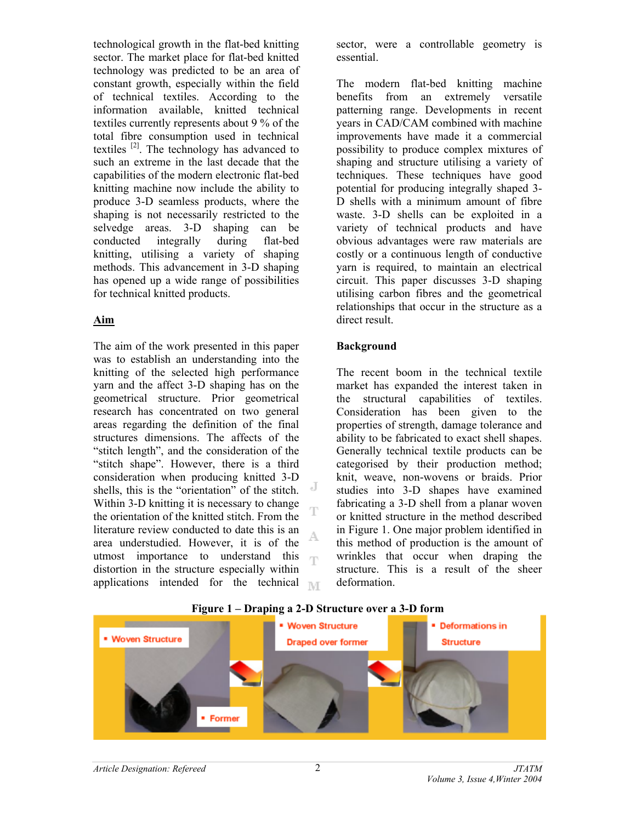technological growth in the flat-bed knitting sector. The market place for flat-bed knitted technology was predicted to be an area of constant growth, especially within the field of technical textiles. According to the information available, knitted technical textiles currently represents about 9 % of the total fibre consumption used in technical textiles [2]. The technology has advanced to such an extreme in the last decade that the capabilities of the modern electronic flat-bed knitting machine now include the ability to produce 3-D seamless products, where the shaping is not necessarily restricted to the selvedge areas. 3-D shaping can be conducted integrally during flat-bed knitting, utilising a variety of shaping methods. This advancement in 3-D shaping has opened up a wide range of possibilities for technical knitted products.

## **Aim**

The aim of the work presented in this paper was to establish an understanding into the knitting of the selected high performance yarn and the affect 3-D shaping has on the geometrical structure. Prior geometrical research has concentrated on two general areas regarding the definition of the final structures dimensions. The affects of the "stitch length", and the consideration of the "stitch shape". However, there is a third consideration when producing knitted 3-D J shells, this is the "orientation" of the stitch. Within 3-D knitting it is necessary to change the orientation of the knitted stitch. From the literature review conducted to date this is an area understudied. However, it is of the utmost importance to understand this m distortion in the structure especially within applications intended for the technical  $\mathbb{N}$  sector, were a controllable geometry is essential.

The modern flat-bed knitting machine benefits from an extremely versatile patterning range. Developments in recent years in CAD/CAM combined with machine improvements have made it a commercial possibility to produce complex mixtures of shaping and structure utilising a variety of techniques. These techniques have good potential for producing integrally shaped 3- D shells with a minimum amount of fibre waste. 3-D shells can be exploited in a variety of technical products and have obvious advantages were raw materials are costly or a continuous length of conductive yarn is required, to maintain an electrical circuit. This paper discusses 3-D shaping utilising carbon fibres and the geometrical relationships that occur in the structure as a direct result.

## **Background**

The recent boom in the technical textile market has expanded the interest taken in the structural capabilities of textiles. Consideration has been given to the properties of strength, damage tolerance and ability to be fabricated to exact shell shapes. Generally technical textile products can be categorised by their production method; knit, weave, non-wovens or braids. Prior studies into 3-D shapes have examined fabricating a 3-D shell from a planar woven or knitted structure in the method described in Figure 1. One major problem identified in this method of production is the amount of wrinkles that occur when draping the structure. This is a result of the sheer deformation.



### **Figure 1 – Draping a 2-D Structure over a 3-D form**

Ą,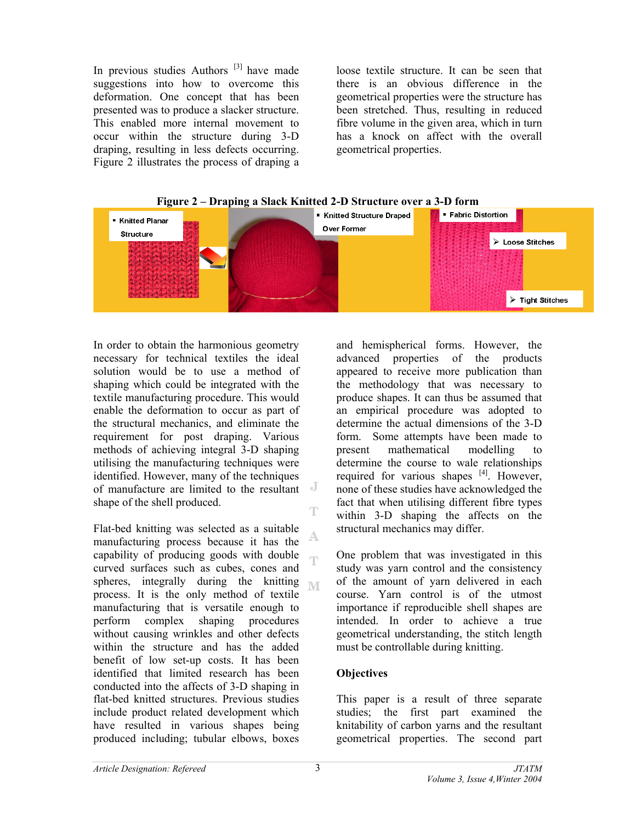In previous studies Authors  $[3]$  have made suggestions into how to overcome this deformation. One concept that has been presented was to produce a slacker structure. This enabled more internal movement to occur within the structure during 3-D draping, resulting in less defects occurring. Figure 2 illustrates the process of draping a loose textile structure. It can be seen that there is an obvious difference in the geometrical properties were the structure has been stretched. Thus, resulting in reduced fibre volume in the given area, which in turn has a knock on affect with the overall geometrical properties.





In order to obtain the harmonious geometry necessary for technical textiles the ideal solution would be to use a method of shaping which could be integrated with the textile manufacturing procedure. This would enable the deformation to occur as part of the structural mechanics, and eliminate the requirement for post draping. Various methods of achieving integral 3-D shaping utilising the manufacturing techniques were identified. However, many of the techniques of manufacture are limited to the resultant shape of the shell produced.

Flat-bed knitting was selected as a suitable manufacturing process because it has the capability of producing goods with double 'n curved surfaces such as cubes, cones and spheres, integrally during the knitting  $\mathbb{N}$ process. It is the only method of textile manufacturing that is versatile enough to perform complex shaping procedures without causing wrinkles and other defects within the structure and has the added benefit of low set-up costs. It has been identified that limited research has been conducted into the affects of 3-D shaping in flat-bed knitted structures. Previous studies include product related development which have resulted in various shapes being produced including; tubular elbows, boxes

and hemispherical forms. However, the advanced properties of the products appeared to receive more publication than the methodology that was necessary to produce shapes. It can thus be assumed that an empirical procedure was adopted to determine the actual dimensions of the 3-D form. Some attempts have been made to present mathematical modelling determine the course to wale relationships required for various shapes [4]. However, none of these studies have acknowledged the fact that when utilising different fibre types within 3-D shaping the affects on the structural mechanics may differ.

One problem that was investigated in this study was yarn control and the consistency of the amount of yarn delivered in each course. Yarn control is of the utmost importance if reproducible shell shapes are intended. In order to achieve a true geometrical understanding, the stitch length must be controllable during knitting.

# **Objectives**

This paper is a result of three separate studies; the first part examined the knitability of carbon yarns and the resultant geometrical properties. The second part

T

Ą,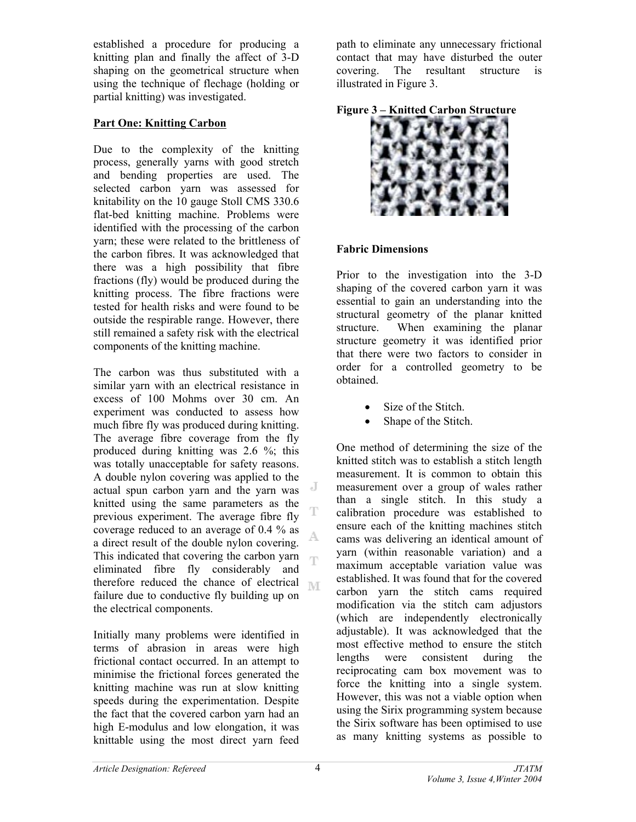established a procedure for producing a knitting plan and finally the affect of 3-D shaping on the geometrical structure when using the technique of flechage (holding or partial knitting) was investigated.

# **Part One: Knitting Carbon**

Due to the complexity of the knitting process, generally yarns with good stretch and bending properties are used. The selected carbon yarn was assessed for knitability on the 10 gauge Stoll CMS 330.6 flat-bed knitting machine. Problems were identified with the processing of the carbon yarn; these were related to the brittleness of the carbon fibres. It was acknowledged that there was a high possibility that fibre fractions (fly) would be produced during the knitting process. The fibre fractions were tested for health risks and were found to be outside the respirable range. However, there still remained a safety risk with the electrical components of the knitting machine.

The carbon was thus substituted with a similar yarn with an electrical resistance in excess of 100 Mohms over 30 cm. An experiment was conducted to assess how much fibre fly was produced during knitting. The average fibre coverage from the fly produced during knitting was 2.6 %; this was totally unacceptable for safety reasons. A double nylon covering was applied to the J actual spun carbon yarn and the yarn was knitted using the same parameters as the previous experiment. The average fibre fly coverage reduced to an average of 0.4 % as a direct result of the double nylon covering. This indicated that covering the carbon yarn  $\overline{\mathbb{F}}$ eliminated fibre fly considerably and therefore reduced the chance of electrical  $\mathbb{M}$ failure due to conductive fly building up on the electrical components.

Initially many problems were identified in terms of abrasion in areas were high frictional contact occurred. In an attempt to minimise the frictional forces generated the knitting machine was run at slow knitting speeds during the experimentation. Despite the fact that the covered carbon yarn had an high E-modulus and low elongation, it was knittable using the most direct yarn feed

path to eliminate any unnecessary frictional contact that may have disturbed the outer covering. The resultant structure is illustrated in Figure 3.





### **Fabric Dimensions**

Prior to the investigation into the 3-D shaping of the covered carbon yarn it was essential to gain an understanding into the structural geometry of the planar knitted structure.When examining the planar structure geometry it was identified prior that there were two factors to consider in order for a controlled geometry to be obtained.

- Size of the Stitch.
- Shape of the Stitch.

One method of determining the size of the knitted stitch was to establish a stitch length measurement. It is common to obtain this measurement over a group of wales rather than a single stitch. In this study a calibration procedure was established to ensure each of the knitting machines stitch cams was delivering an identical amount of yarn (within reasonable variation) and a maximum acceptable variation value was established. It was found that for the covered carbon yarn the stitch cams required modification via the stitch cam adjustors (which are independently electronically adjustable). It was acknowledged that the most effective method to ensure the stitch lengths were consistent during the reciprocating cam box movement was to force the knitting into a single system. However, this was not a viable option when using the Sirix programming system because the Sirix software has been optimised to use as many knitting systems as possible to

A.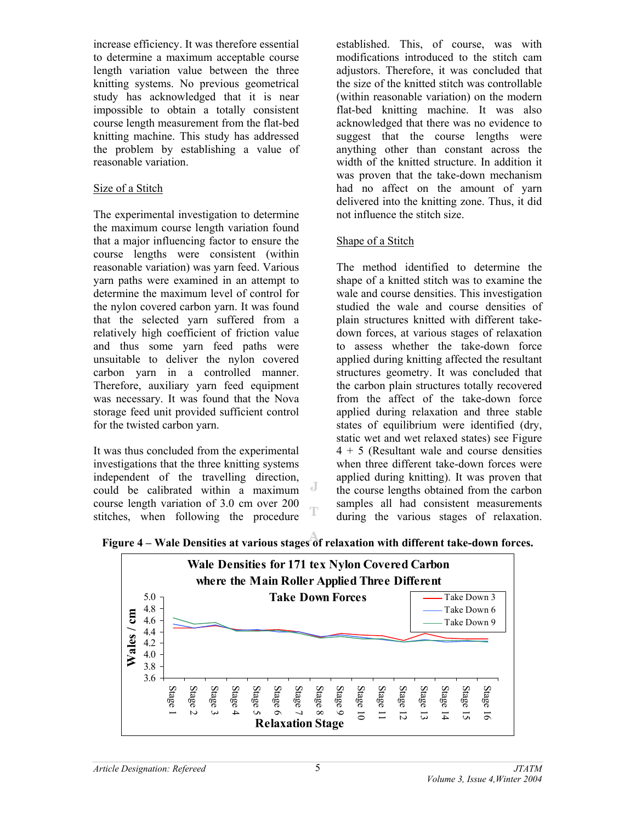increase efficiency. It was therefore essential to determine a maximum acceptable course length variation value between the three knitting systems. No previous geometrical study has acknowledged that it is near impossible to obtain a totally consistent course length measurement from the flat-bed knitting machine. This study has addressed the problem by establishing a value of reasonable variation.

## Size of a Stitch

The experimental investigation to determine the maximum course length variation found that a major influencing factor to ensure the course lengths were consistent (within reasonable variation) was yarn feed. Various yarn paths were examined in an attempt to determine the maximum level of control for the nylon covered carbon yarn. It was found that the selected yarn suffered from a relatively high coefficient of friction value and thus some yarn feed paths were unsuitable to deliver the nylon covered carbon yarn in a controlled manner. Therefore, auxiliary yarn feed equipment was necessary. It was found that the Nova storage feed unit provided sufficient control for the twisted carbon yarn.

It was thus concluded from the experimental investigations that the three knitting systems independent of the travelling direction, J could be calibrated within a maximum course length variation of 3.0 cm over 200 stitches, when following the procedure

established. This, of course, was with modifications introduced to the stitch cam adjustors. Therefore, it was concluded that the size of the knitted stitch was controllable (within reasonable variation) on the modern flat-bed knitting machine. It was also acknowledged that there was no evidence to suggest that the course lengths were anything other than constant across the width of the knitted structure. In addition it was proven that the take-down mechanism had no affect on the amount of yarn delivered into the knitting zone. Thus, it did not influence the stitch size.

## Shape of a Stitch

The method identified to determine the shape of a knitted stitch was to examine the wale and course densities. This investigation studied the wale and course densities of plain structures knitted with different takedown forces, at various stages of relaxation to assess whether the take-down force applied during knitting affected the resultant structures geometry. It was concluded that the carbon plain structures totally recovered from the affect of the take-down force applied during relaxation and three stable states of equilibrium were identified (dry, static wet and wet relaxed states) see Figure 4 + 5 (Resultant wale and course densities when three different take-down forces were applied during knitting). It was proven that the course lengths obtained from the carbon samples all had consistent measurements during the various stages of relaxation.

**Figure 4 – Wale Densities at various stages of relaxation with different take-down forces.** 

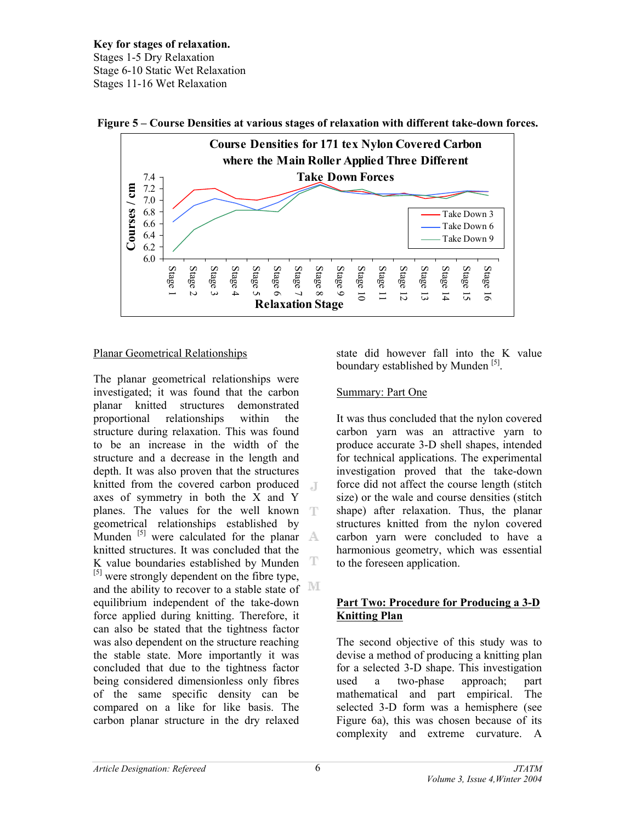**Key for stages of relaxation.**  Stages 1-5 Dry Relaxation Stage 6-10 Static Wet Relaxation Stages 11-16 Wet Relaxation





## Planar Geometrical Relationships

The planar geometrical relationships were investigated; it was found that the carbon planar knitted structures demonstrated proportional relationships within the structure during relaxation. This was found to be an increase in the width of the structure and a decrease in the length and depth. It was also proven that the structures knitted from the covered carbon produced  $\Box$ axes of symmetry in both the X and Y planes. The values for the well known T geometrical relationships established by Munden  $^{[5]}$  were calculated for the planar  $\mathbb{A}$ knitted structures. It was concluded that the K value boundaries established by Munden  $T$ [5] were strongly dependent on the fibre type, and the ability to recover to a stable state of MI equilibrium independent of the take-down force applied during knitting. Therefore, it can also be stated that the tightness factor was also dependent on the structure reaching the stable state. More importantly it was concluded that due to the tightness factor being considered dimensionless only fibres of the same specific density can be compared on a like for like basis. The carbon planar structure in the dry relaxed

state did however fall into the K value boundary established by Munden [5].

# Summary: Part One

It was thus concluded that the nylon covered carbon yarn was an attractive yarn to produce accurate 3-D shell shapes, intended for technical applications. The experimental investigation proved that the take-down force did not affect the course length (stitch size) or the wale and course densities (stitch shape) after relaxation. Thus, the planar structures knitted from the nylon covered carbon yarn were concluded to have a harmonious geometry, which was essential to the foreseen application.

## **Part Two: Procedure for Producing a 3-D Knitting Plan**

The second objective of this study was to devise a method of producing a knitting plan for a selected 3-D shape. This investigation used a two-phase approach; part mathematical and part empirical. The selected 3-D form was a hemisphere (see Figure 6a), this was chosen because of its complexity and extreme curvature. A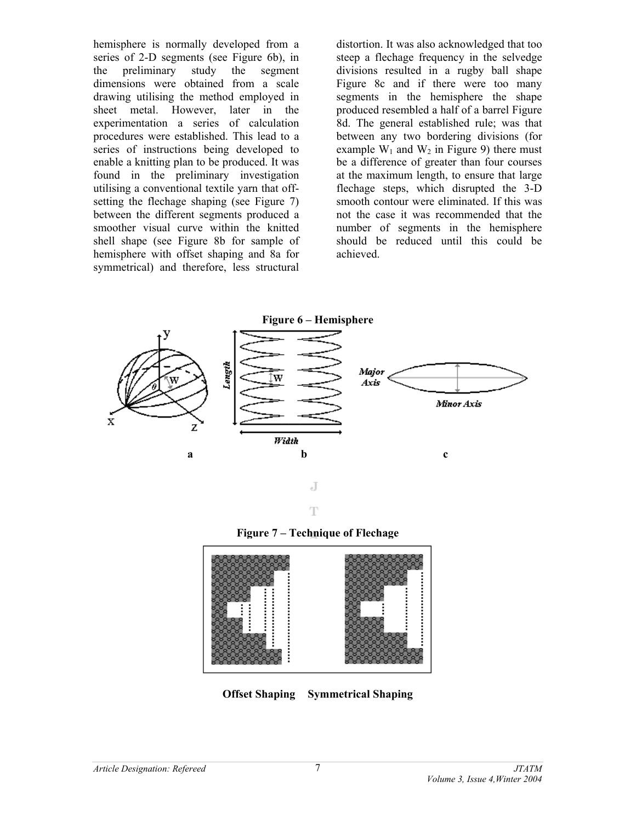hemisphere is normally developed from a series of 2-D segments (see Figure 6b), in the preliminary study the segment dimensions were obtained from a scale drawing utilising the method employed in sheet metal. However, later in the experimentation a series of calculation procedures were established. This lead to a series of instructions being developed to enable a knitting plan to be produced. It was found in the preliminary investigation utilising a conventional textile yarn that offsetting the flechage shaping (see Figure 7) between the different segments produced a smoother visual curve within the knitted shell shape (see Figure 8b for sample of hemisphere with offset shaping and 8a for symmetrical) and therefore, less structural

distortion. It was also acknowledged that too steep a flechage frequency in the selvedge divisions resulted in a rugby ball shape Figure 8c and if there were too many segments in the hemisphere the shape produced resembled a half of a barrel Figure 8d. The general established rule; was that between any two bordering divisions (for example  $W_1$  and  $W_2$  in Figure 9) there must be a difference of greater than four courses at the maximum length, to ensure that large flechage steps, which disrupted the 3-D smooth contour were eliminated. If this was not the case it was recommended that the number of segments in the hemisphere should be reduced until this could be achieved.







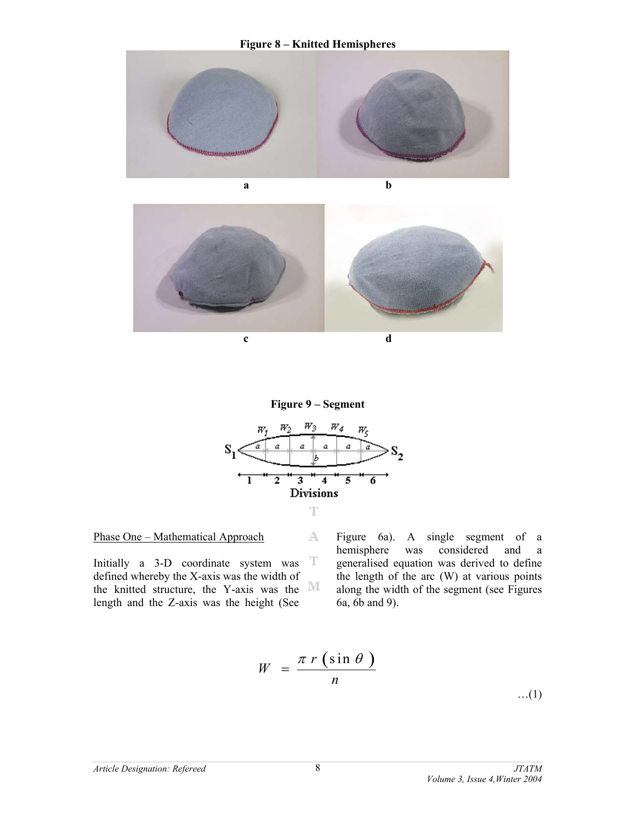#### **Figure 8 – Knitted Hemispheres**









A.

8

#### Phase One – Mathematical Approach

Initially a 3-D coordinate system was T defined whereby the X-axis was the width of the knitted structure, the Y-axis was the  $\mathbb M$ length and the Z-axis was the height (See

Figure 6a). A single segment of a hemisphere was considered and a generalised equation was derived to define the length of the arc (W) at various points along the width of the segment (see Figures 6a, 6b and 9).

$$
W = \frac{\pi r (\sin \theta)}{n}
$$

…(1)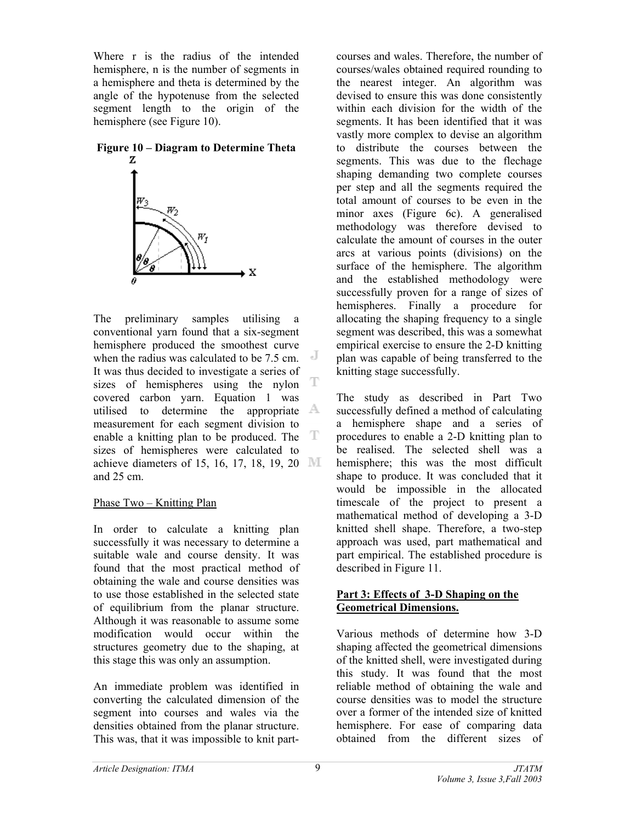Where r is the radius of the intended hemisphere, n is the number of segments in a hemisphere and theta is determined by the angle of the hypotenuse from the selected segment length to the origin of the hemisphere (see Figure 10).

# **Figure 10 – Diagram to Determine Theta**



The preliminary samples utilising a conventional yarn found that a six-segment hemisphere produced the smoothest curve when the radius was calculated to be 7.5 cm. It was thus decided to investigate a series of T sizes of hemispheres using the nylon covered carbon yarn. Equation 1 was utilised to determine the appropriate  $\mathbb A$ measurement for each segment division to enable a knitting plan to be produced. The  $T$ sizes of hemispheres were calculated to achieve diameters of 15, 16, 17, 18, 19, 20  $\mathbb{M}$ and 25 cm.

### Phase Two – Knitting Plan

In order to calculate a knitting plan successfully it was necessary to determine a suitable wale and course density. It was found that the most practical method of obtaining the wale and course densities was to use those established in the selected state of equilibrium from the planar structure. Although it was reasonable to assume some modification would occur within the structures geometry due to the shaping, at this stage this was only an assumption.

An immediate problem was identified in converting the calculated dimension of the segment into courses and wales via the densities obtained from the planar structure. This was, that it was impossible to knit partcourses and wales. Therefore, the number of courses/wales obtained required rounding to the nearest integer. An algorithm was devised to ensure this was done consistently within each division for the width of the segments. It has been identified that it was vastly more complex to devise an algorithm to distribute the courses between the segments. This was due to the flechage shaping demanding two complete courses per step and all the segments required the total amount of courses to be even in the minor axes (Figure 6c). A generalised methodology was therefore devised to calculate the amount of courses in the outer arcs at various points (divisions) on the surface of the hemisphere. The algorithm and the established methodology were successfully proven for a range of sizes of hemispheres. Finally a procedure for allocating the shaping frequency to a single segment was described, this was a somewhat empirical exercise to ensure the 2-D knitting plan was capable of being transferred to the knitting stage successfully.

The study as described in Part Two successfully defined a method of calculating a hemisphere shape and a series of procedures to enable a 2-D knitting plan to be realised. The selected shell was a hemisphere; this was the most difficult shape to produce. It was concluded that it would be impossible in the allocated timescale of the project to present a mathematical method of developing a 3-D knitted shell shape. Therefore, a two-step approach was used, part mathematical and part empirical. The established procedure is described in Figure 11.

## **Part 3: Effects of 3-D Shaping on the Geometrical Dimensions.**

Various methods of determine how 3-D shaping affected the geometrical dimensions of the knitted shell, were investigated during this study. It was found that the most reliable method of obtaining the wale and course densities was to model the structure over a former of the intended size of knitted hemisphere. For ease of comparing data obtained from the different sizes of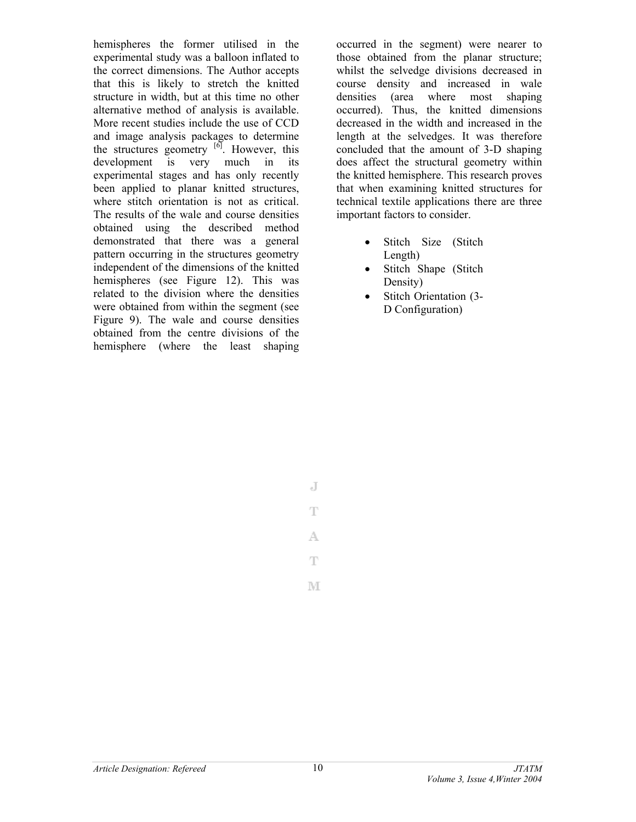hemispheres the former utilised in the experimental study was a balloon inflated to the correct dimensions. The Author accepts that this is likely to stretch the knitted structure in width, but at this time no other alternative method of analysis is available. More recent studies include the use of CCD and image analysis packages to determine the structures geometry  $\left[6\right]$ . However, this development is very much in its experimental stages and has only recently been applied to planar knitted structures, where stitch orientation is not as critical. The results of the wale and course densities obtained using the described method demonstrated that there was a general pattern occurring in the structures geometry independent of the dimensions of the knitted hemispheres (see Figure 12). This was related to the division where the densities were obtained from within the segment (see Figure 9). The wale and course densities obtained from the centre divisions of the hemisphere (where the least shaping occurred in the segment) were nearer to those obtained from the planar structure; whilst the selvedge divisions decreased in course density and increased in wale densities (area where most shaping occurred). Thus, the knitted dimensions decreased in the width and increased in the length at the selvedges. It was therefore concluded that the amount of 3-D shaping does affect the structural geometry within the knitted hemisphere. This research proves that when examining knitted structures for technical textile applications there are three important factors to consider.

- Stitch Size (Stitch Length)
- Stitch Shape (Stitch Density)
- Stitch Orientation (3- D Configuration)

T A.

J

T

M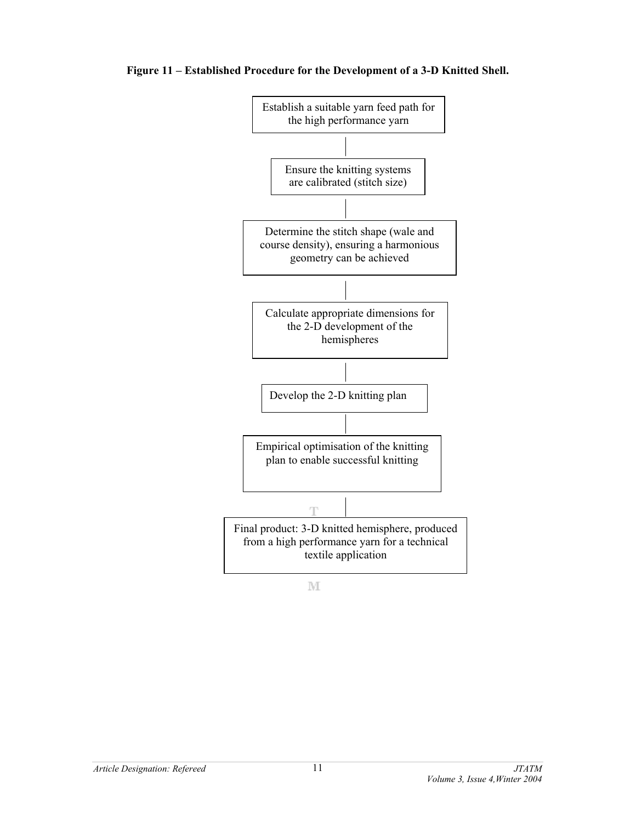#### **Figure 11 – Established Procedure for the Development of a 3-D Knitted Shell.**



M

*Article Designation: Refereed JTATM*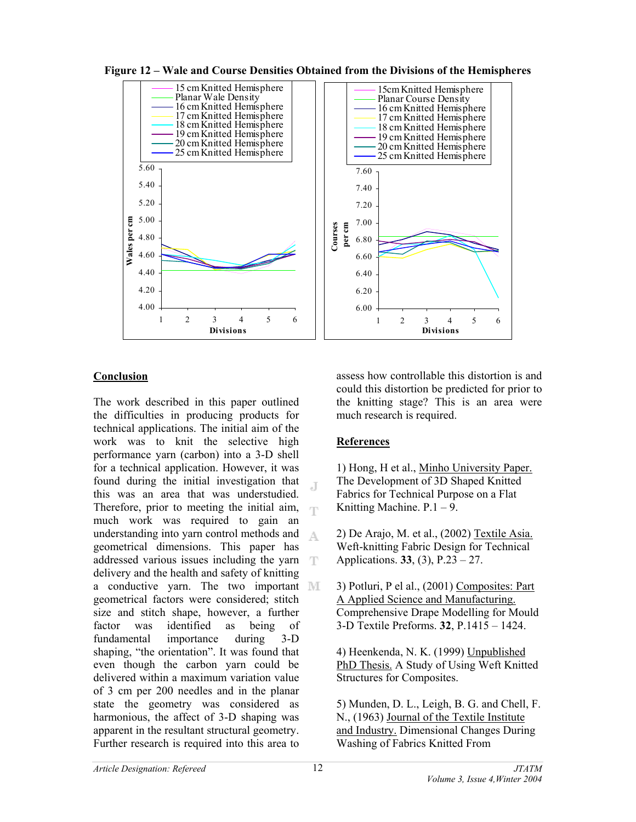**Figure 12 – Wale and Course Densities Obtained from the Divisions of the Hemispheres** 



# **Conclusion**

The work described in this paper outlined the difficulties in producing products for technical applications. The initial aim of the work was to knit the selective high performance yarn (carbon) into a 3-D shell for a technical application. However, it was found during the initial investigation that .T this was an area that was understudied. Therefore, prior to meeting the initial aim, T much work was required to gain an understanding into yarn control methods and A geometrical dimensions. This paper has addressed various issues including the yarn delivery and the health and safety of knitting a conductive yarn. The two important MI geometrical factors were considered; stitch size and stitch shape, however, a further factor was identified as being of fundamental importance during 3-D shaping, "the orientation". It was found that even though the carbon yarn could be delivered within a maximum variation value of 3 cm per 200 needles and in the planar state the geometry was considered as harmonious, the affect of 3-D shaping was apparent in the resultant structural geometry. Further research is required into this area to

assess how controllable this distortion is and could this distortion be predicted for prior to the knitting stage? This is an area were much research is required.

# **References**

1) Hong, H et al., Minho University Paper. The Development of 3D Shaped Knitted Fabrics for Technical Purpose on a Flat Knitting Machine.  $P.1 - 9$ .

- 2) De Arajo, M. et al., (2002) Textile Asia. Weft-knitting Fabric Design for Technical Applications. **33**, (3), P.23 – 27.
- 3) Potluri, P el al., (2001) Composites: Part A Applied Science and Manufacturing. Comprehensive Drape Modelling for Mould 3-D Textile Preforms. **32**, P.1415 – 1424.

4) Heenkenda, N. K. (1999) Unpublished PhD Thesis. A Study of Using Weft Knitted Structures for Composites.

5) Munden, D. L., Leigh, B. G. and Chell, F. N., (1963) Journal of the Textile Institute and Industry. Dimensional Changes During Washing of Fabrics Knitted From